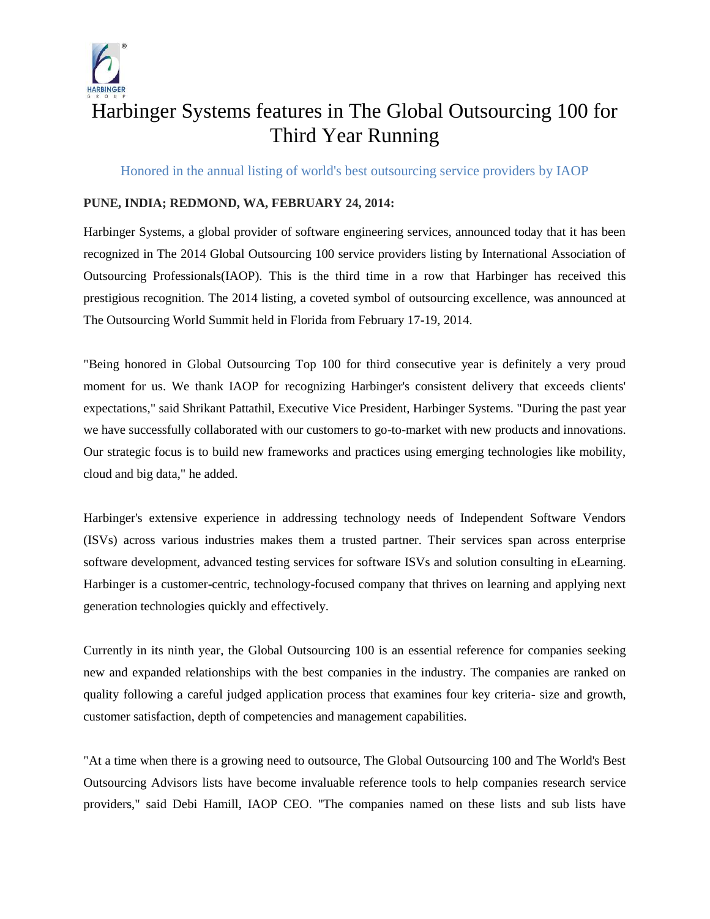

## Harbinger Systems features in The Global Outsourcing 100 for Third Year Running

Honored in the annual listing of world's best outsourcing service providers by IAOP

## **PUNE, INDIA; REDMOND, WA, FEBRUARY 24, 2014:**

Harbinger Systems, a global provider of software engineering services, announced today that it has been recognized in The 2014 Global Outsourcing 100 service providers listing by International Association of Outsourcing Professionals(IAOP). This is the third time in a row that Harbinger has received this prestigious recognition. The 2014 listing, a coveted symbol of outsourcing excellence, was announced at The Outsourcing World Summit held in Florida from February 17-19, 2014.

"Being honored in Global Outsourcing Top 100 for third consecutive year is definitely a very proud moment for us. We thank IAOP for recognizing Harbinger's consistent delivery that exceeds clients' expectations," said Shrikant Pattathil, Executive Vice President, Harbinger Systems. "During the past year we have successfully collaborated with our customers to go-to-market with new products and innovations. Our strategic focus is to build new frameworks and practices using emerging technologies like mobility, cloud and big data," he added.

Harbinger's extensive experience in addressing technology needs of Independent Software Vendors (ISVs) across various industries makes them a trusted partner. Their services span across enterprise software development, advanced testing services for software ISVs and solution consulting in eLearning. Harbinger is a customer-centric, technology-focused company that thrives on learning and applying next generation technologies quickly and effectively.

Currently in its ninth year, the Global Outsourcing 100 is an essential reference for companies seeking new and expanded relationships with the best companies in the industry. The companies are ranked on quality following a careful judged application process that examines four key criteria- size and growth, customer satisfaction, depth of competencies and management capabilities.

"At a time when there is a growing need to outsource, The Global Outsourcing 100 and The World's Best Outsourcing Advisors lists have become invaluable reference tools to help companies research service providers," said Debi Hamill, IAOP CEO. "The companies named on these lists and sub lists have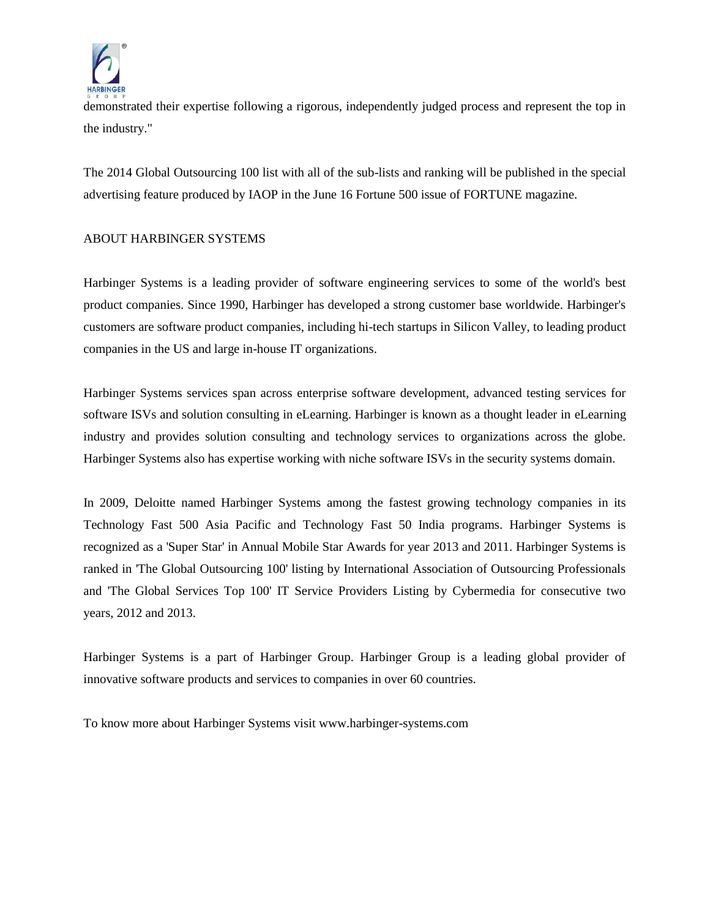

demonstrated their expertise following a rigorous, independently judged process and represent the top in the industry."

The 2014 Global Outsourcing 100 list with all of the sub-lists and ranking will be published in the special advertising feature produced by IAOP in the June 16 Fortune 500 issue of FORTUNE magazine.

## ABOUT HARBINGER SYSTEMS

Harbinger Systems is a leading provider of software engineering services to some of the world's best product companies. Since 1990, Harbinger has developed a strong customer base worldwide. Harbinger's customers are software product companies, including hi-tech startups in Silicon Valley, to leading product companies in the US and large in-house IT organizations.

Harbinger Systems services span across enterprise software development, advanced testing services for software ISVs and solution consulting in eLearning. Harbinger is known as a thought leader in eLearning industry and provides solution consulting and technology services to organizations across the globe. Harbinger Systems also has expertise working with niche software ISVs in the security systems domain.

In 2009, Deloitte named Harbinger Systems among the fastest growing technology companies in its Technology Fast 500 Asia Pacific and Technology Fast 50 India programs. Harbinger Systems is recognized as a 'Super Star' in Annual Mobile Star Awards for year 2013 and 2011. Harbinger Systems is ranked in 'The Global Outsourcing 100' listing by International Association of Outsourcing Professionals and 'The Global Services Top 100' IT Service Providers Listing by Cybermedia for consecutive two years, 2012 and 2013.

Harbinger Systems is a part of Harbinger Group. Harbinger Group is a leading global provider of innovative software products and services to companies in over 60 countries.

To know more about Harbinger Systems visit www.harbinger-systems.com